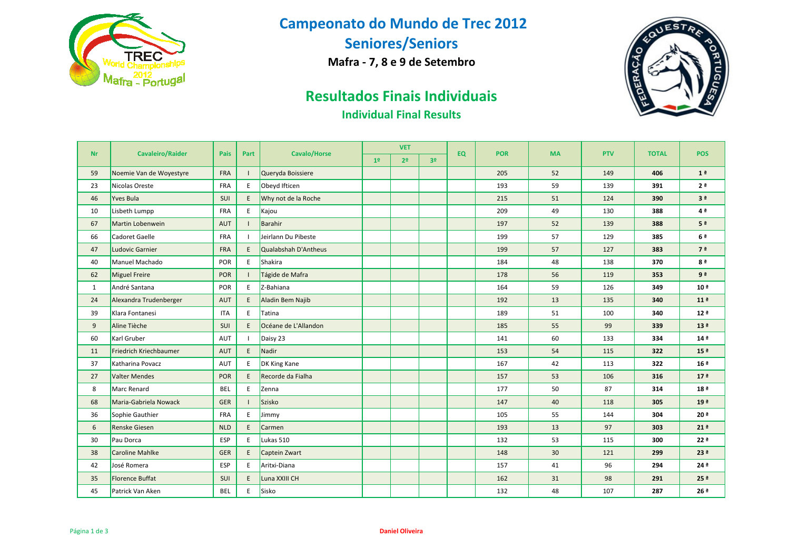

# **Campeonato do Mundo de Trec 2012**

**Seniores/Seniors**

**Mafra - 7, 8 e 9 de Setembro**



# **Resultados Finais Individuais**

#### **Individual Final Results**

|              |                         |            |      |                      | <b>VET</b>     |                |                |           |            |           | <b>PTV</b> |              | <b>POS</b>         |
|--------------|-------------------------|------------|------|----------------------|----------------|----------------|----------------|-----------|------------|-----------|------------|--------------|--------------------|
| <b>Nr</b>    | <b>Cavaleiro/Raider</b> | Pais       | Part | <b>Cavalo/Horse</b>  | 1 <sup>°</sup> | 2 <sup>o</sup> | 3 <sup>o</sup> | <b>EQ</b> | <b>POR</b> | <b>MA</b> |            | <b>TOTAL</b> |                    |
| 59           | Noemie Van de Woyestyre | <b>FRA</b> |      | Queryda Boissiere    |                |                |                |           | 205        | 52        | 149        | 406          | 1 <sup>a</sup>     |
| 23           | Nicolas Oreste          | FRA        | E    | Obeyd Ifticen        |                |                |                |           | 193        | 59        | 139        | 391          | 2 <sup>a</sup>     |
| 46           | Yves Bula               | SUI        | E    | Why not de la Roche  |                |                |                |           | 215        | 51        | 124        | 390          | 3 <sup>a</sup>     |
| 10           | Lisbeth Lumpp           | FRA        | E    | Kajou                |                |                |                |           | 209        | 49        | 130        | 388          | 4 <sup>a</sup>     |
| 67           | Martin Lobenwein        | <b>AUT</b> |      | Barahir              |                |                |                |           | 197        | 52        | 139        | 388          | 5 <sup>a</sup>     |
| 66           | Cadoret Gaelle          | <b>FRA</b> | - 1  | Jeirlann Du Pibeste  |                |                |                |           | 199        | 57        | 129        | 385          | 6 <sup>a</sup>     |
| 47           | <b>Ludovic Garnier</b>  | <b>FRA</b> | E    | Qualabshah D'Antheus |                |                |                |           | 199        | 57        | 127        | 383          | 7 <sup>a</sup>     |
| 40           | Manuel Machado          | <b>POR</b> | E    | Shakira              |                |                |                |           | 184        | 48        | 138        | 370          | 8 <sup>a</sup>     |
| 62           | <b>Miguel Freire</b>    | POR        |      | Tágide de Mafra      |                |                |                |           | 178        | 56        | 119        | 353          | 9ª                 |
| $\mathbf{1}$ | André Santana           | POR        | E    | Z-Bahiana            |                |                |                |           | 164        | 59        | 126        | 349          | 10 <sup>a</sup>    |
| 24           | Alexandra Trudenberger  | <b>AUT</b> | E    | Aladin Bem Najib     |                |                |                |           | 192        | 13        | 135        | 340          | 11 <sup>a</sup>    |
| 39           | Klara Fontanesi         | <b>ITA</b> | E    | Tatina               |                |                |                |           | 189        | 51        | 100        | 340          | 12 <sup>a</sup>    |
| 9            | Aline Tièche            | SUI        | E    | Océane de L'Allandon |                |                |                |           | 185        | 55        | 99         | 339          | 13 <sup>a</sup>    |
| 60           | Karl Gruber             | AUT        | П    | Daisy 23             |                |                |                |           | 141        | 60        | 133        | 334          | 14 <sup>a</sup>    |
| 11           | Friedrich Kriechbaumer  | <b>AUT</b> | E    | Nadir                |                |                |                |           | 153        | 54        | 115        | 322          | 15 <sup>2</sup>    |
| 37           | Katharina Povacz        | AUT        | E    | DK King Kane         |                |                |                |           | 167        | 42        | 113        | 322          | 16 <sup>2</sup>    |
| 27           | <b>Valter Mendes</b>    | POR        | E    | Recorde da Fialha    |                |                |                |           | 157        | 53        | 106        | 316          | 17 <sup>9</sup>    |
| 8            | Marc Renard             | <b>BEL</b> | E    | Zenna                |                |                |                |           | 177        | 50        | 87         | 314          | 18 <sup>a</sup>    |
| 68           | Maria-Gabriela Nowack   | <b>GER</b> | -1   | Szisko               |                |                |                |           | 147        | 40        | 118        | 305          | 19 <sup>8</sup>    |
| 36           | Sophie Gauthier         | FRA        | E    | <b>Jimmy</b>         |                |                |                |           | 105        | 55        | 144        | 304          | $20^{\frac{a}{2}}$ |
| 6            | <b>Renske Giesen</b>    | <b>NLD</b> | E    | Carmen               |                |                |                |           | 193        | 13        | 97         | 303          | 21 <sup>a</sup>    |
| 30           | Pau Dorca               | <b>ESP</b> | E    | Lukas 510            |                |                |                |           | 132        | 53        | 115        | 300          | 22 <sup>a</sup>    |
| 38           | <b>Caroline Mahlke</b>  | <b>GER</b> | E    | Captein Zwart        |                |                |                |           | 148        | 30        | 121        | 299          | 23 <sup>°</sup>    |
| 42           | José Romera             | ESP        | E    | Aritxi-Diana         |                |                |                |           | 157        | 41        | 96         | 294          | 24 ª               |
| 35           | <b>Florence Buffat</b>  | <b>SUI</b> | E    | Luna XXIII CH        |                |                |                |           | 162        | 31        | 98         | 291          | 25 <sup>a</sup>    |
| 45           | Patrick Van Aken        | <b>BEL</b> | E    | Sisko                |                |                |                |           | 132        | 48        | 107        | 287          | 26 <sup>a</sup>    |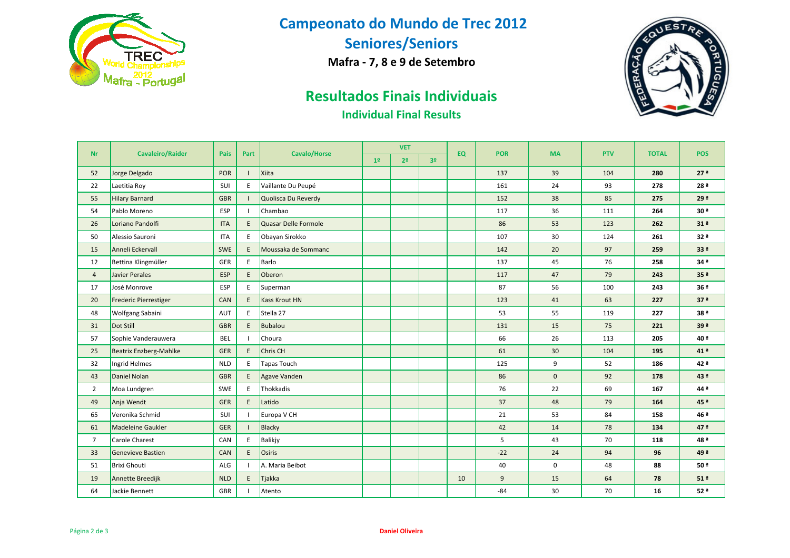

# **Campeonato do Mundo de Trec 2012**

**Seniores/Seniors**

**Mafra - 7, 8 e 9 de Setembro**



# **Resultados Finais Individuais**

#### **Individual Final Results**

| <b>Nr</b>      | <b>Cavaleiro/Raider</b>       | Pais       | Part | <b>Cavalo/Horse</b>  | <b>VET</b>     |                | <b>EQ</b>      | <b>POR</b> | <b>MA</b> | <b>PTV</b>     | <b>TOTAL</b> | <b>POS</b> |                 |
|----------------|-------------------------------|------------|------|----------------------|----------------|----------------|----------------|------------|-----------|----------------|--------------|------------|-----------------|
|                |                               |            |      |                      | 1 <sup>°</sup> | 2 <sup>o</sup> | 3 <sup>o</sup> |            |           |                |              |            |                 |
| 52             | Jorge Delgado                 | POR        |      | Xiita                |                |                |                |            | 137       | 39             | 104          | 280        | 27 <sup>°</sup> |
| 22             | Laetitia Roy                  | SUI        | Ε    | Vaillante Du Peupé   |                |                |                |            | 161       | 24             | 93           | 278        | 28 <sup>ª</sup> |
| 55             | <b>Hilary Barnard</b>         | <b>GBR</b> |      | Quolisca Du Reverdy  |                |                |                |            | 152       | 38             | 85           | 275        | 29 <sup>°</sup> |
| 54             | Pablo Moreno                  | ESP        |      | Chambao              |                |                |                |            | 117       | 36             | 111          | 264        | 30 ª            |
| 26             | Loriano Pandolfi              | <b>ITA</b> | E    | Quasar Delle Formole |                |                |                |            | 86        | 53             | 123          | 262        | 31 <sup>a</sup> |
| 50             | Alessio Sauroni               | <b>ITA</b> | E    | Obayan Sirokko       |                |                |                |            | 107       | 30             | 124          | 261        | 32 <sup>a</sup> |
| 15             | Anneli Eckervall              | <b>SWE</b> | E    | Moussaka de Sommanc  |                |                |                |            | 142       | 20             | 97           | 259        | 33 <sup>2</sup> |
| 12             | Bettina Klingmüller           | GER        | E    | Barlo                |                |                |                |            | 137       | 45             | 76           | 258        | 34 <sup>a</sup> |
| $\overline{4}$ | Javier Perales                | <b>ESP</b> | E    | Oberon               |                |                |                |            | 117       | 47             | 79           | 243        | 35 <sup>2</sup> |
| 17             | José Monrove                  | ESP        | Ε    | Superman             |                |                |                |            | 87        | 56             | 100          | 243        | 36 <sup>2</sup> |
| 20             | <b>Frederic Pierrestiger</b>  | CAN        | E    | <b>Kass Krout HN</b> |                |                |                |            | 123       | 41             | 63           | 227        | 37 <sup>8</sup> |
| 48             | Wolfgang Sabaini              | AUT        | E    | Stella 27            |                |                |                |            | 53        | 55             | 119          | 227        | 38 <sup>a</sup> |
| 31             | Dot Still                     | <b>GBR</b> | E    | Bubalou              |                |                |                |            | 131       | 15             | 75           | 221        | 39 <sup>ª</sup> |
| 57             | Sophie Vanderauwera           | <b>BEL</b> |      | Choura               |                |                |                |            | 66        | 26             | 113          | 205        | 40 <sup>a</sup> |
| 25             | <b>Beatrix Enzberg-Mahlke</b> | <b>GER</b> | E    | Chris CH             |                |                |                |            | 61        | 30             | 104          | 195        | 41 <sup>9</sup> |
| 32             | Ingrid Helmes                 | <b>NLD</b> | E    | Tapas Touch          |                |                |                |            | 125       | 9              | 52           | 186        | 42ª             |
| 43             | Daniel Nolan                  | <b>GBR</b> | E    | Agave Vanden         |                |                |                |            | 86        | $\overline{0}$ | 92           | 178        | 43 <sup>ª</sup> |
| $\overline{2}$ | Moa Lundgren                  | SWE        | E    | Thokkadis            |                |                |                |            | 76        | 22             | 69           | 167        | 44 <sup>a</sup> |
| 49             | Anja Wendt                    | <b>GER</b> | E    | Latido               |                |                |                |            | 37        | 48             | 79           | 164        | 45 <sup>ª</sup> |
| 65             | Veronika Schmid               | SUI        |      | Europa V CH          |                |                |                |            | 21        | 53             | 84           | 158        | 46 <sup>ª</sup> |
| 61             | <b>Madeleine Gaukler</b>      | <b>GER</b> |      | Blacky               |                |                |                |            | 42        | 14             | 78           | 134        | 47 <sup>9</sup> |
| $\overline{7}$ | <b>Carole Charest</b>         | CAN        | E    | Balikjy              |                |                |                |            | 5         | 43             | 70           | 118        | 48 <sup>ª</sup> |
| 33             | <b>Genevieve Bastien</b>      | CAN        | E    | Osiris               |                |                |                |            | $-22$     | 24             | 94           | 96         | 49 <sup>ª</sup> |
| 51             | <b>Brixi Ghouti</b>           | ALG        |      | A. Maria Beibot      |                |                |                |            | 40        | 0              | 48           | 88         | 50 <sup>a</sup> |
| 19             | Annette Breedijk              | <b>NLD</b> | E    | Tjakka               |                |                |                | 10         | 9         | 15             | 64           | 78         | 51 <sup>a</sup> |
| 64             | Jackie Bennett                | <b>GBR</b> |      | Atento               |                |                |                |            | $-84$     | 30             | 70           | 16         | 52 <sup>a</sup> |